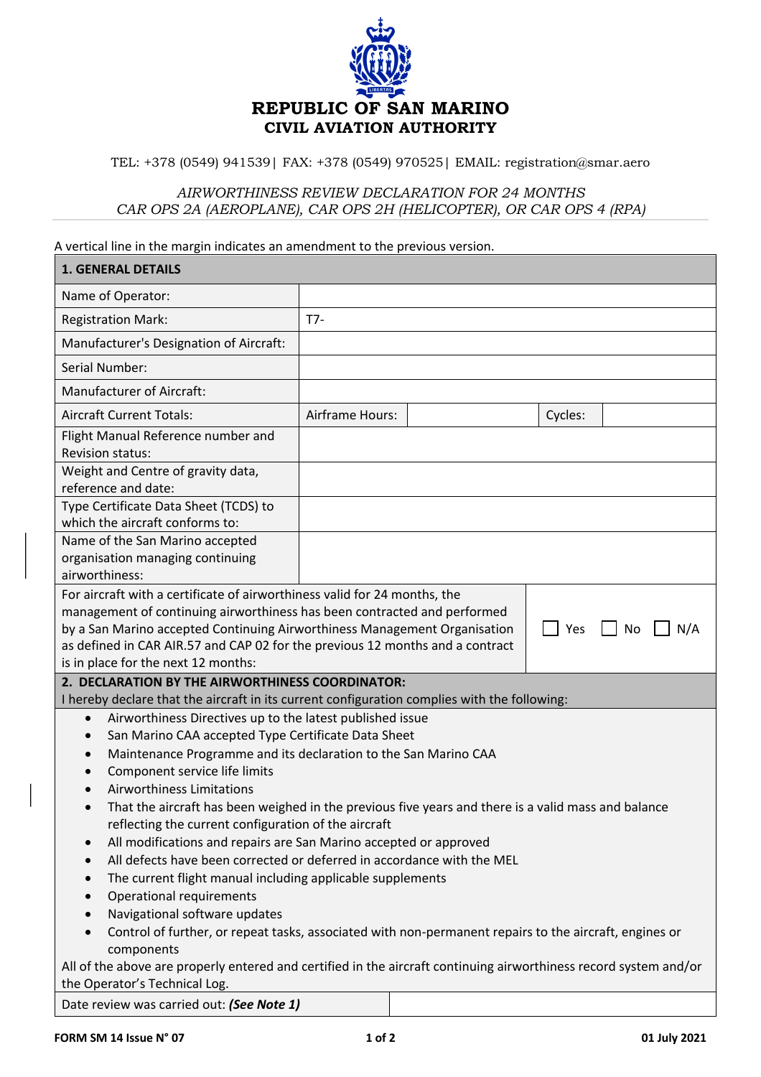

TEL: +378 (0549) 941539| FAX: +378 (0549) 970525| EMAIL: registration@smar.aero

## *AIRWORTHINESS REVIEW DECLARATION FOR 24 MONTHS CAR OPS 2A (AEROPLANE), CAR OPS 2H (HELICOPTER), OR CAR OPS 4 (RPA)*

A vertical line in the margin indicates an amendment to the previous version.

| <b>1. GENERAL DETAILS</b>                                                                                                                                                                                                                                                                                                                                                                                                                                                                                                                                                                                                                                                                                                                                                                                                                                                                                                                                                                                                         |                 |  |         |  |  |
|-----------------------------------------------------------------------------------------------------------------------------------------------------------------------------------------------------------------------------------------------------------------------------------------------------------------------------------------------------------------------------------------------------------------------------------------------------------------------------------------------------------------------------------------------------------------------------------------------------------------------------------------------------------------------------------------------------------------------------------------------------------------------------------------------------------------------------------------------------------------------------------------------------------------------------------------------------------------------------------------------------------------------------------|-----------------|--|---------|--|--|
| Name of Operator:                                                                                                                                                                                                                                                                                                                                                                                                                                                                                                                                                                                                                                                                                                                                                                                                                                                                                                                                                                                                                 |                 |  |         |  |  |
| <b>Registration Mark:</b>                                                                                                                                                                                                                                                                                                                                                                                                                                                                                                                                                                                                                                                                                                                                                                                                                                                                                                                                                                                                         | $T7-$           |  |         |  |  |
| Manufacturer's Designation of Aircraft:                                                                                                                                                                                                                                                                                                                                                                                                                                                                                                                                                                                                                                                                                                                                                                                                                                                                                                                                                                                           |                 |  |         |  |  |
| Serial Number:                                                                                                                                                                                                                                                                                                                                                                                                                                                                                                                                                                                                                                                                                                                                                                                                                                                                                                                                                                                                                    |                 |  |         |  |  |
| <b>Manufacturer of Aircraft:</b>                                                                                                                                                                                                                                                                                                                                                                                                                                                                                                                                                                                                                                                                                                                                                                                                                                                                                                                                                                                                  |                 |  |         |  |  |
| <b>Aircraft Current Totals:</b>                                                                                                                                                                                                                                                                                                                                                                                                                                                                                                                                                                                                                                                                                                                                                                                                                                                                                                                                                                                                   | Airframe Hours: |  | Cycles: |  |  |
| Flight Manual Reference number and<br><b>Revision status:</b>                                                                                                                                                                                                                                                                                                                                                                                                                                                                                                                                                                                                                                                                                                                                                                                                                                                                                                                                                                     |                 |  |         |  |  |
| Weight and Centre of gravity data,<br>reference and date:                                                                                                                                                                                                                                                                                                                                                                                                                                                                                                                                                                                                                                                                                                                                                                                                                                                                                                                                                                         |                 |  |         |  |  |
| Type Certificate Data Sheet (TCDS) to<br>which the aircraft conforms to:                                                                                                                                                                                                                                                                                                                                                                                                                                                                                                                                                                                                                                                                                                                                                                                                                                                                                                                                                          |                 |  |         |  |  |
| Name of the San Marino accepted<br>organisation managing continuing<br>airworthiness:                                                                                                                                                                                                                                                                                                                                                                                                                                                                                                                                                                                                                                                                                                                                                                                                                                                                                                                                             |                 |  |         |  |  |
| For aircraft with a certificate of airworthiness valid for 24 months, the<br>management of continuing airworthiness has been contracted and performed<br>by a San Marino accepted Continuing Airworthiness Management Organisation<br>Yes<br>N/A<br>No<br>as defined in CAR AIR.57 and CAP 02 for the previous 12 months and a contract<br>is in place for the next 12 months:                                                                                                                                                                                                                                                                                                                                                                                                                                                                                                                                                                                                                                                    |                 |  |         |  |  |
| 2. DECLARATION BY THE AIRWORTHINESS COORDINATOR:                                                                                                                                                                                                                                                                                                                                                                                                                                                                                                                                                                                                                                                                                                                                                                                                                                                                                                                                                                                  |                 |  |         |  |  |
| I hereby declare that the aircraft in its current configuration complies with the following:<br>Airworthiness Directives up to the latest published issue<br>$\bullet$<br>San Marino CAA accepted Type Certificate Data Sheet<br>$\bullet$<br>Maintenance Programme and its declaration to the San Marino CAA<br>$\bullet$<br>Component service life limits<br>$\bullet$<br><b>Airworthiness Limitations</b><br>That the aircraft has been weighed in the previous five years and there is a valid mass and balance<br>reflecting the current configuration of the aircraft<br>All modifications and repairs are San Marino accepted or approved<br>$\bullet$<br>All defects have been corrected or deferred in accordance with the MEL<br>$\bullet$<br>The current flight manual including applicable supplements<br>$\bullet$<br>Operational requirements<br>$\bullet$<br>Navigational software updates<br>Control of further, or repeat tasks, associated with non-permanent repairs to the aircraft, engines or<br>components |                 |  |         |  |  |
| All of the above are properly entered and certified in the aircraft continuing airworthiness record system and/or<br>the Operator's Technical Log.                                                                                                                                                                                                                                                                                                                                                                                                                                                                                                                                                                                                                                                                                                                                                                                                                                                                                |                 |  |         |  |  |
| Date review was carried out: (See Note 1)                                                                                                                                                                                                                                                                                                                                                                                                                                                                                                                                                                                                                                                                                                                                                                                                                                                                                                                                                                                         |                 |  |         |  |  |